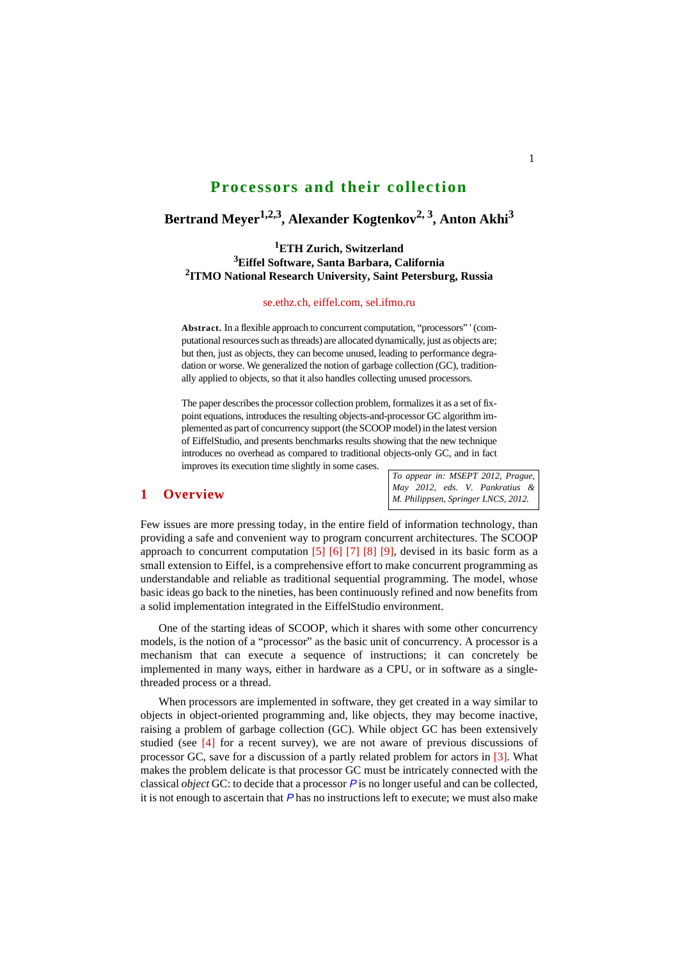# **Processors and their collection**

# Bertrand Meyer<sup>1,2,3</sup>, Alexander Kogtenkov<sup>2, 3</sup>, Anton Akhi<sup>3</sup>

## **1ETH Zurich, Switzerland 3Eiffel Software, Santa Barbara, California 2ITMO National Research University, Saint Petersburg, Russia**

#### [se.ethz.ch,](http://se.ethz.ch) [eiffel.com,](http://eiffel.com) [sel.ifmo.ru](http://sel.ifmo.ru)

**Abstract.** In a flexible approach to concurrent computation, "processors" ' (computational resources such as threads) are allocated dynamically, just as objects are; but then, just as objects, they can become unused, leading to performance degradation or worse. We generalized the notion of garbage collection (GC), traditionally applied to objects, so that it also handles collecting unused processors.

The paper describes the processor collection problem, formalizes it as a set of fixpoint equations, introduces the resulting objects-and-processor GC algorithm implemented as part of concurrency support (the SCOOP model) in the latest version of EiffelStudio, and presents benchmarks results showing that the new technique introduces no overhead as compared to traditional objects-only GC, and in fact improves its execution time slightly in some cases.

#### **1 Overview**

*To appear in: MSEPT 2012, Prague, May 2012, eds. V. Pankratius & M. Philippsen, Springer LNCS, 2012.*

Few issues are more pressing today, in the entire field of information technology, than providing a safe and convenient way to program concurrent architectures. The SCOOP approach to concurrent computation  $[5]$   $[6]$   $[7]$   $[8]$   $[9]$ , devised in its basic form as a small extension to Eiffel, is a comprehensive effort to make concurrent programming as understandable and reliable as traditional sequential programming. The model, whose basic ideas go back to the nineties, has been continuously refined and now benefits from a solid implementation integrated in the EiffelStudio environment.

One of the starting ideas of SCOOP, which it shares with some other concurrency models, is the notion of a "processor" as the basic unit of concurrency. A processor is a mechanism that can execute a sequence of instructions; it can concretely be implemented in many ways, either in hardware as a CPU, or in software as a singlethreaded process or a thread.

When processors are implemented in software, they get created in a way similar to objects in object-oriented programming and, like objects, they may become inactive, raising a problem of garbage collection (GC). While object GC has been extensively studied (see [\[4\]](#page-13-0) for a recent survey), we are not aware of previous discussions of processor GC, save for a discussion of a partly related problem for actors in [\[3\].](#page-13-6) What makes the problem delicate is that processor GC must be intricately connected with the classical *object* GC: to decide that a processor <sup>P</sup> is no longer useful and can be collected, it is not enough to ascertain that  $P$  has no instructions left to execute; we must also make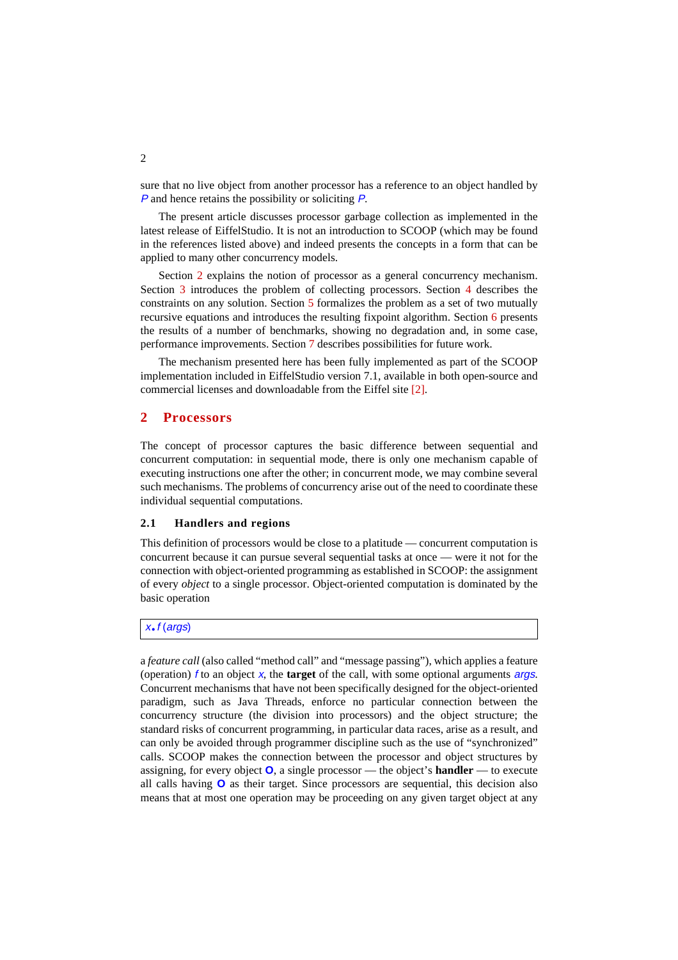sure that no live object from another processor has a reference to an object handled by <sup>P</sup> and hence retains the possibility or soliciting <sup>P</sup>.

The present article discusses processor garbage collection as implemented in the latest release of EiffelStudio. It is not an introduction to SCOOP (which may be found in the references listed above) and indeed presents the concepts in a form that can be applied to many other concurrency models.

Section [2](#page-1-0) explains the notion of processor as a general concurrency mechanism. Section [3](#page-3-0) introduces the problem of collecting processors. Section [4](#page-4-0) describes the constraints on any solution. Section [5](#page-6-0) formalizes the problem as a set of two mutually recursive equations and introduces the resulting fixpoint algorithm. Section [6](#page-9-0) presents the results of a number of benchmarks, showing no degradation and, in some case, performance improvements. Section [7](#page-12-0) describes possibilities for future work.

The mechanism presented here has been fully implemented as part of the SCOOP implementation included in EiffelStudio version 7.1, available in both open-source and commercial licenses and downloadable from the Eiffel site [\[2\].](#page-13-7)

## <span id="page-1-0"></span>**2 Processors**

The concept of processor captures the basic difference between sequential and concurrent computation: in sequential mode, there is only one mechanism capable of executing instructions one after the other; in concurrent mode, we may combine several such mechanisms. The problems of concurrency arise out of the need to coordinate these individual sequential computations.

#### **2.1 Handlers and regions**

This definition of processors would be close to a platitude — concurrent computation is concurrent because it can pursue several sequential tasks at once — were it not for the connection with object-oriented programming as established in SCOOP: the assignment of every *object* to a single processor. Object-oriented computation is dominated by the basic operation

## <sup>x</sup>.<sup>f</sup> (args)

a *feature call* (also called "method call" and "message passing"), which applies a feature (operation)  $f$  to an object  $x$ , the **target** of the call, with some optional arguments **args**. Concurrent mechanisms that have not been specifically designed for the object-oriented paradigm, such as Java Threads, enforce no particular connection between the concurrency structure (the division into processors) and the object structure; the standard risks of concurrent programming, in particular data races, arise as a result, and can only be avoided through programmer discipline such as the use of "synchronized" calls. SCOOP makes the connection between the processor and object structures by assigning, for every object **O**, a single processor — the object's **handler** — to execute all calls having **O** as their target. Since processors are sequential, this decision also means that at most one operation may be proceeding on any given target object at any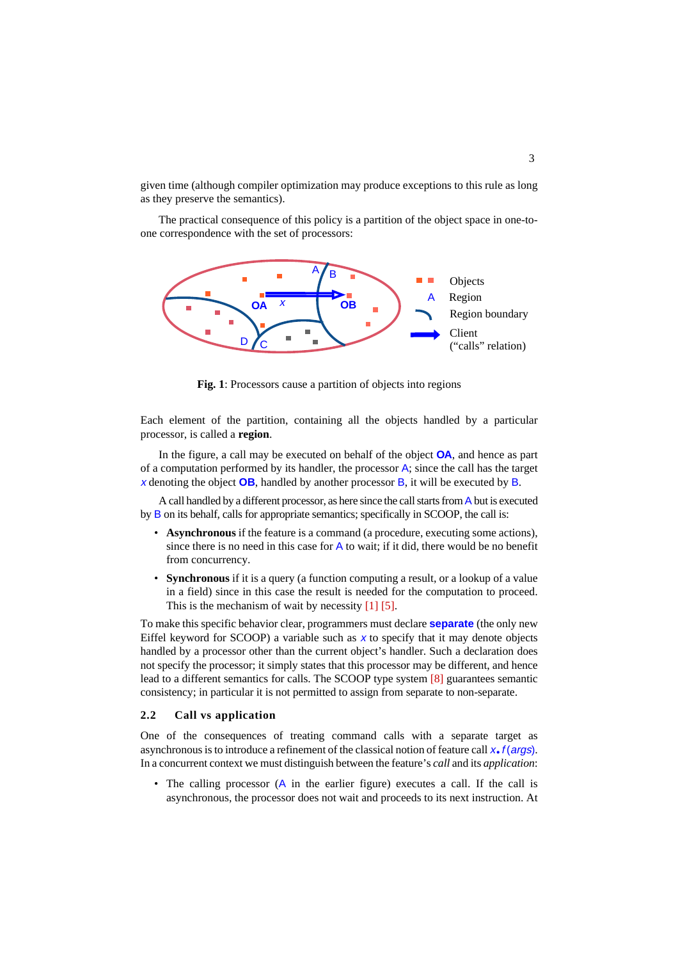given time (although compiler optimization may produce exceptions to this rule as long as they preserve the semantics).

The practical consequence of this policy is a partition of the object space in one-toone correspondence with the set of processors:



**Fig. 1**: Processors cause a partition of objects into regions

Each element of the partition, containing all the objects handled by a particular processor, is called a **region**.

In the figure, a call may be executed on behalf of the object **OA**, and hence as part of a computation performed by its handler, the processor A; since the call has the target <sup>x</sup> denoting the object **OB**, handled by another processor B, it will be executed by B.

A call handled by a different processor, as here since the call starts from A but is executed by B on its behalf, calls for appropriate semantics; specifically in SCOOP, the call is:

- **Asynchronous** if the feature is a command (a procedure, executing some actions), since there is no need in this case for  $A$  to wait; if it did, there would be no benefit from concurrency.
- **Synchronous** if it is a query (a function computing a result, or a lookup of a value in a field) since in this case the result is needed for the computation to proceed. This is the mechanism of wait by necessity  $[1]$  [\[5\]](#page-13-1).

To make this specific behavior clear, programmers must declare **separate** (the only new Eiffel keyword for SCOOP) a variable such as  $x$  to specify that it may denote objects handled by a processor other than the current object's handler. Such a declaration does not specify the processor; it simply states that this processor may be different, and hence lead to a different semantics for calls. The SCOOP type system [\[8\]](#page-13-4) guarantees semantic consistency; in particular it is not permitted to assign from separate to non-separate.

#### **2.2 Call vs application**

One of the consequences of treating command calls with a separate target as asynchronous is to introduce a refinement of the classical notion of feature call  $x$ .  $f(args)$ . In a concurrent context we must distinguish between the feature's *call* and its *application*:

• The calling processor (A in the earlier figure) executes a call. If the call is asynchronous, the processor does not wait and proceeds to its next instruction. At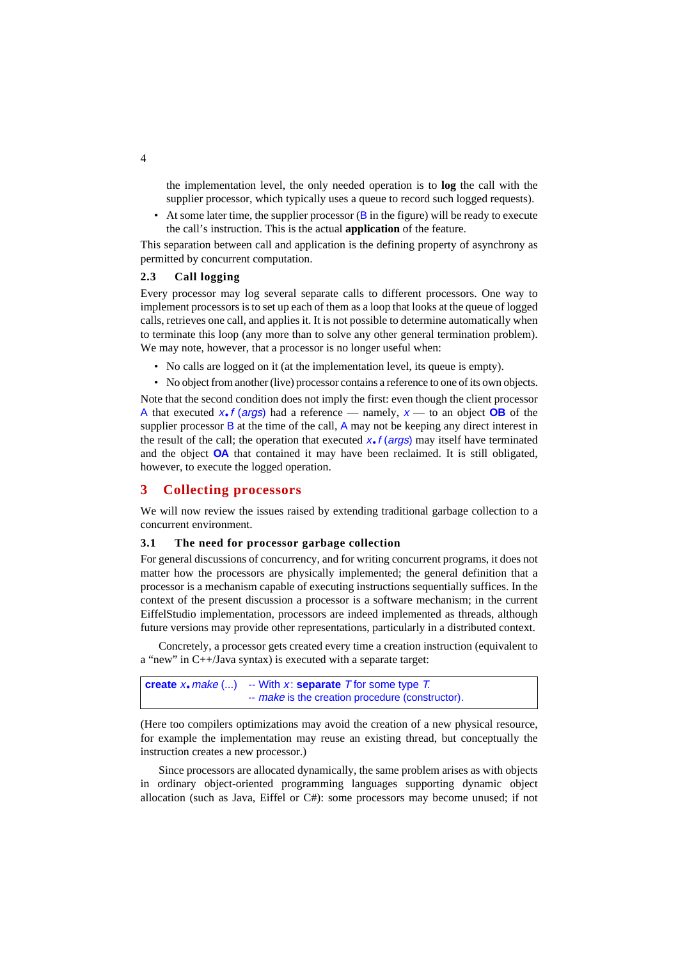the implementation level, the only needed operation is to **log** the call with the supplier processor, which typically uses a queue to record such logged requests).

• At some later time, the supplier processor  $(B \text{ in the figure})$  will be ready to execute the call's instruction. This is the actual **application** of the feature.

This separation between call and application is the defining property of asynchrony as permitted by concurrent computation.

### <span id="page-3-1"></span>**2.3 Call logging**

Every processor may log several separate calls to different processors. One way to implement processors is to set up each of them as a loop that looks at the queue of logged calls, retrieves one call, and applies it. It is not possible to determine automatically when to terminate this loop (any more than to solve any other general termination problem). We may note, however, that a processor is no longer useful when:

- No calls are logged on it (at the implementation level, its queue is empty).
- No object from another (live) processor contains a reference to one of its own objects.

Note that the second condition does not imply the first: even though the client processor A that executed  $x \cdot f$  (*args*) had a reference — namely,  $x$  — to an object **OB** of the supplier processor  $B$  at the time of the call,  $A$  may not be keeping any direct interest in the result of the call; the operation that executed  $x \cdot f (args)$  may itself have terminated and the object **OA** that contained it may have been reclaimed. It is still obligated, however, to execute the logged operation.

## <span id="page-3-0"></span>**3 Collecting processors**

We will now review the issues raised by extending traditional garbage collection to a concurrent environment.

#### **3.1 The need for processor garbage collection**

For general discussions of concurrency, and for writing concurrent programs, it does not matter how the processors are physically implemented; the general definition that a processor is a mechanism capable of executing instructions sequentially suffices. In the context of the present discussion a processor is a software mechanism; in the current EiffelStudio implementation, processors are indeed implemented as threads, although future versions may provide other representations, particularly in a distributed context.

Concretely, a processor gets created every time a creation instruction (equivalent to a "new" in C++/Java syntax) is executed with a separate target:

```
create x. make (...) -- With x: separate T for some type T.
          -- make is the creation procedure (constructor).
```
(Here too compilers optimizations may avoid the creation of a new physical resource, for example the implementation may reuse an existing thread, but conceptually the instruction creates a new processor.)

Since processors are allocated dynamically, the same problem arises as with objects in ordinary object-oriented programming languages supporting dynamic object allocation (such as Java, Eiffel or C#): some processors may become unused; if not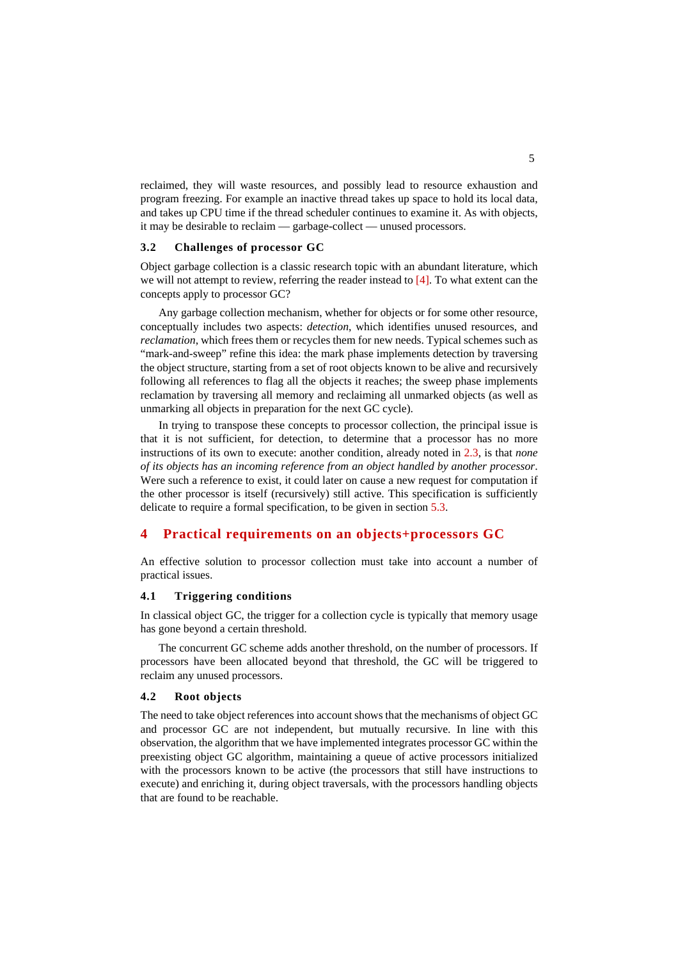reclaimed, they will waste resources, and possibly lead to resource exhaustion and program freezing. For example an inactive thread takes up space to hold its local data, and takes up CPU time if the thread scheduler continues to examine it. As with objects, it may be desirable to reclaim — garbage-collect — unused processors.

### **3.2 Challenges of processor GC**

Object garbage collection is a classic research topic with an abundant literature, which we will not attempt to review, referring the reader instead to  $[4]$ . To what extent can the concepts apply to processor GC?

Any garbage collection mechanism, whether for objects or for some other resource, conceptually includes two aspects: *detection*, which identifies unused resources, and *reclamation*, which frees them or recycles them for new needs. Typical schemes such as "mark-and-sweep" refine this idea: the mark phase implements detection by traversing the object structure, starting from a set of root objects known to be alive and recursively following all references to flag all the objects it reaches; the sweep phase implements reclamation by traversing all memory and reclaiming all unmarked objects (as well as unmarking all objects in preparation for the next GC cycle).

In trying to transpose these concepts to processor collection, the principal issue is that it is not sufficient, for detection, to determine that a processor has no more instructions of its own to execute: another condition, already noted in [2.3,](#page-3-1) is that *none of its objects has an incoming reference from an object handled by another processor*. Were such a reference to exist, it could later on cause a new request for computation if the other processor is itself (recursively) still active. This specification is sufficiently delicate to require a formal specification, to be given in section [5.3.](#page-7-0)

## <span id="page-4-0"></span>**4 Practical requirements on an objects+processors GC**

An effective solution to processor collection must take into account a number of practical issues.

## **4.1 Triggering conditions**

In classical object GC, the trigger for a collection cycle is typically that memory usage has gone beyond a certain threshold.

The concurrent GC scheme adds another threshold, on the number of processors. If processors have been allocated beyond that threshold, the GC will be triggered to reclaim any unused processors.

#### <span id="page-4-1"></span>**4.2 Root objects**

The need to take object references into account shows that the mechanisms of object GC and processor GC are not independent, but mutually recursive. In line with this observation, the algorithm that we have implemented integrates processor GC within the preexisting object GC algorithm, maintaining a queue of active processors initialized with the processors known to be active (the processors that still have instructions to execute) and enriching it, during object traversals, with the processors handling objects that are found to be reachable.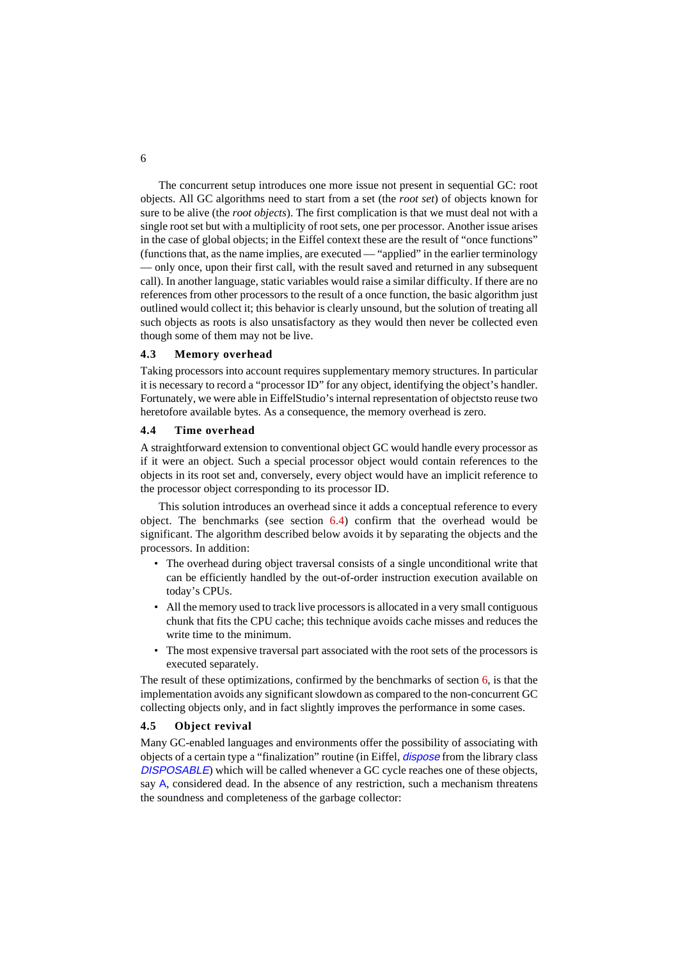The concurrent setup introduces one more issue not present in sequential GC: root objects. All GC algorithms need to start from a set (the *root set*) of objects known for sure to be alive (the *root objects*). The first complication is that we must deal not with a single root set but with a multiplicity of root sets, one per processor. Another issue arises in the case of global objects; in the Eiffel context these are the result of "once functions" (functions that, as the name implies, are executed — "applied" in the earlier terminology — only once, upon their first call, with the result saved and returned in any subsequent call). In another language, static variables would raise a similar difficulty. If there are no references from other processors to the result of a once function, the basic algorithm just outlined would collect it; this behavior is clearly unsound, but the solution of treating all such objects as roots is also unsatisfactory as they would then never be collected even though some of them may not be live.

#### **4.3 Memory overhead**

Taking processors into account requires supplementary memory structures. In particular it is necessary to record a "processor ID" for any object, identifying the object's handler. Fortunately, we were able in EiffelStudio's internal representation of objectsto reuse two heretofore available bytes. As a consequence, the memory overhead is zero.

### <span id="page-5-0"></span>**4.4 Time overhead**

A straightforward extension to conventional object GC would handle every processor as if it were an object. Such a special processor object would contain references to the objects in its root set and, conversely, every object would have an implicit reference to the processor object corresponding to its processor ID.

This solution introduces an overhead since it adds a conceptual reference to every object. The benchmarks (see section [6.4](#page-11-0)) confirm that the overhead would be significant. The algorithm described below avoids it by separating the objects and the processors. In addition:

- The overhead during object traversal consists of a single unconditional write that can be efficiently handled by the out-of-order instruction execution available on today's CPUs.
- All the memory used to track live processors is allocated in a very small contiguous chunk that fits the CPU cache; this technique avoids cache misses and reduces the write time to the minimum.
- The most expensive traversal part associated with the root sets of the processors is executed separately.

The result of these optimizations, confirmed by the benchmarks of section  $6$ , is that the implementation avoids any significant slowdown as compared to the non-concurrent GC collecting objects only, and in fact slightly improves the performance in some cases.

#### **4.5 Object revival**

Many GC-enabled languages and environments offer the possibility of associating with objects of a certain type a "finalization" routine (in Eiffel, dispose from the library class DISPOSABLE) which will be called whenever a GC cycle reaches one of these objects, say A, considered dead. In the absence of any restriction, such a mechanism threatens the soundness and completeness of the garbage collector:

6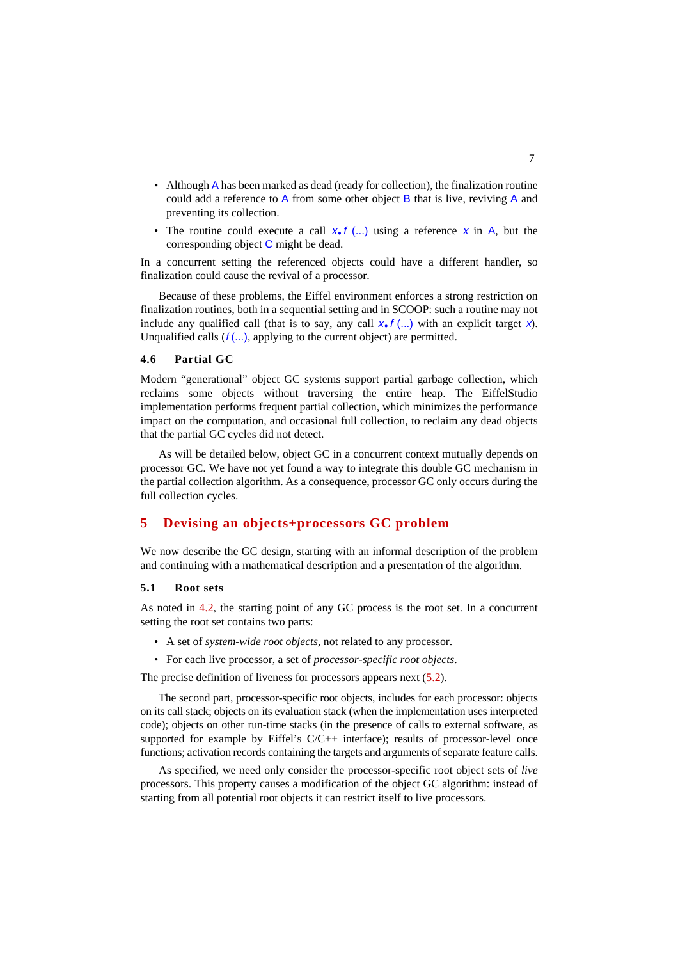- Although A has been marked as dead (ready for collection), the finalization routine could add a reference to A from some other object B that is live, reviving A and preventing its collection.
- The routine could execute a call  $x \cdot f$  (...) using a reference x in A, but the corresponding object C might be dead.

In a concurrent setting the referenced objects could have a different handler, so finalization could cause the revival of a processor.

Because of these problems, the Eiffel environment enforces a strong restriction on finalization routines, both in a sequential setting and in SCOOP: such a routine may not include any qualified call (that is to say, any call  $x$ , f(...) with an explicit target x). Unqualified calls  $(f(...))$ , applying to the current object) are permitted.

### **4.6 Partial GC**

Modern "generational" object GC systems support partial garbage collection, which reclaims some objects without traversing the entire heap. The EiffelStudio implementation performs frequent partial collection, which minimizes the performance impact on the computation, and occasional full collection, to reclaim any dead objects that the partial GC cycles did not detect.

As will be detailed below, object GC in a concurrent context mutually depends on processor GC. We have not yet found a way to integrate this double GC mechanism in the partial collection algorithm. As a consequence, processor GC only occurs during the full collection cycles.

#### <span id="page-6-0"></span>**5 Devising an objects+processors GC problem**

We now describe the GC design, starting with an informal description of the problem and continuing with a mathematical description and a presentation of the algorithm.

#### **5.1 Root sets**

As noted in [4.2](#page-4-1), the starting point of any GC process is the root set. In a concurrent setting the root set contains two parts:

- A set of *system-wide root objects*, not related to any processor.
- For each live processor, a set of *processor-specific root objects*.

The precise definition of liveness for processors appears next [\(5.2\)](#page-7-1).

The second part, processor-specific root objects, includes for each processor: objects on its call stack; objects on its evaluation stack (when the implementation uses interpreted code); objects on other run-time stacks (in the presence of calls to external software, as supported for example by Eiffel's  $C/C++$  interface); results of processor-level once functions; activation records containing the targets and arguments of separate feature calls.

As specified, we need only consider the processor-specific root object sets of *live* processors. This property causes a modification of the object GC algorithm: instead of starting from all potential root objects it can restrict itself to live processors.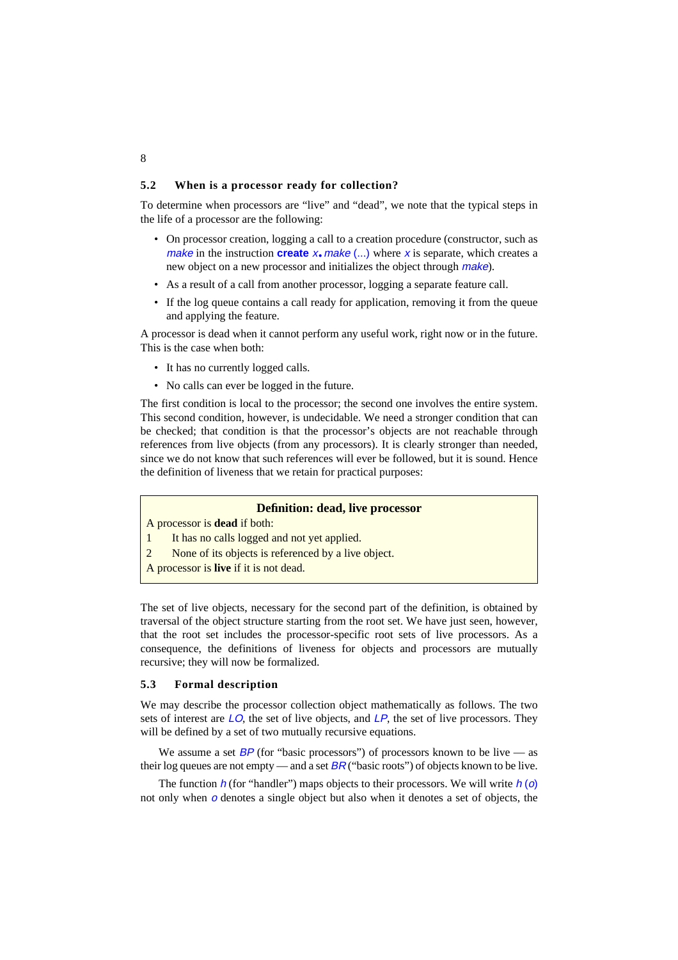#### <span id="page-7-1"></span>**5.2 When is a processor ready for collection?**

To determine when processors are "live" and "dead", we note that the typical steps in the life of a processor are the following:

- On processor creation, logging a call to a creation procedure (constructor, such as *make* in the instruction **create**  $x$ . *make*  $(...)$  where  $x$  is separate, which creates a new object on a new processor and initializes the object through *make*).
- As a result of a call from another processor, logging a separate feature call.
- If the log queue contains a call ready for application, removing it from the queue and applying the feature.

A processor is dead when it cannot perform any useful work, right now or in the future. This is the case when both:

- It has no currently logged calls.
- No calls can ever be logged in the future.

The first condition is local to the processor; the second one involves the entire system. This second condition, however, is undecidable. We need a stronger condition that can be checked; that condition is that the processor's objects are not reachable through references from live objects (from any processors). It is clearly stronger than needed, since we do not know that such references will ever be followed, but it is sound. Hence the definition of liveness that we retain for practical purposes:

#### **Definition: dead, live processor**

A processor is **dead** if both:

- 1 It has no calls logged and not yet applied.
- 2 None of its objects is referenced by a live object.
- A processor is **live** if it is not dead.

The set of live objects, necessary for the second part of the definition, is obtained by traversal of the object structure starting from the root set. We have just seen, however, that the root set includes the processor-specific root sets of live processors. As a consequence, the definitions of liveness for objects and processors are mutually recursive; they will now be formalized.

#### <span id="page-7-0"></span>**5.3 Formal description**

We may describe the processor collection object mathematically as follows. The two sets of interest are  $LO$ , the set of live objects, and  $LP$ , the set of live processors. They will be defined by a set of two mutually recursive equations.

We assume a set  $BP$  (for "basic processors") of processors known to be live — as their log queues are not empty — and a set  $BR$  ("basic roots") of objects known to be live.

The function  $h$  (for "handler") maps objects to their processors. We will write  $h$  (o) not only when  $o$  denotes a single object but also when it denotes a set of objects, the

## 8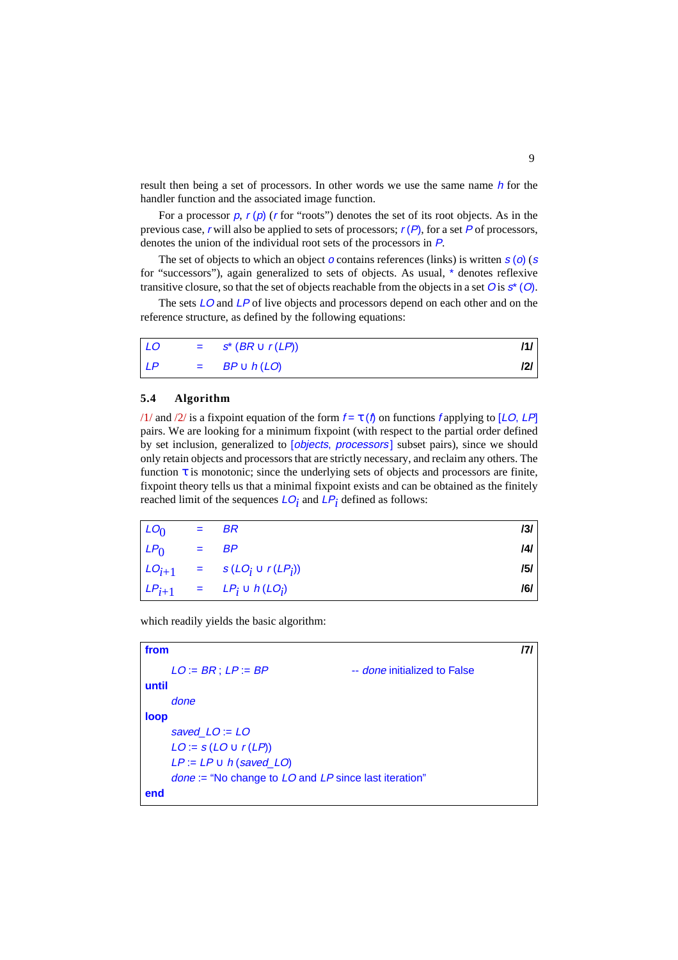result then being a set of processors. In other words we use the same name  $h$  for the handler function and the associated image function.

For a processor  $p$ ,  $r$  ( $p$ ) ( $r$  for "roots") denotes the set of its root objects. As in the previous case, r will also be applied to sets of processors;  $r(P)$ , for a set P of processors, denotes the union of the individual root sets of the processors in <sup>P</sup>.

The set of objects to which an object  $o$  contains references (links) is written  $s$  (o) (s for "successors"), again generalized to sets of objects. As usual, \* denotes reflexive transitive closure, so that the set of objects reachable from the objects in a set O is  $s^*(O)$ .

The sets *LO* and *LP* of live objects and processors depend on each other and on the reference structure, as defined by the following equations:

<span id="page-8-1"></span><span id="page-8-0"></span>

| LO | $=$ $s^*(BR \cup r(LP))$ | /1/ |
|----|--------------------------|-----|
| LP | $= BP \cup h (LO)$       | /2/ |

### **5.4 Algorithm**

[/1/](#page-8-0) and [/2/](#page-8-1) is a fixpoint equation of the form  $f = \tau$  ( $\hat{f}$ ) on functions f applying to [LO, LP] pairs. We are looking for a minimum fixpoint (with respect to the partial order defined by set inclusion, generalized to [*objects, processors*] subset pairs), since we should only retain objects and processors that are strictly necessary, and reclaim any others. The function  $\tau$  is monotonic; since the underlying sets of objects and processors are finite, fixpoint theory tells us that a minimal fixpoint exists and can be obtained as the finitely reached limit of the sequences  $LO_i$  and  $LP_i$  defined as follows:

| LO <sub>0</sub> | <b>BR</b>                  | /3/ |
|-----------------|----------------------------|-----|
| $LP_0$          | <b>BP</b>                  | /4/ |
| $LO_{i+1}$      | $=$ $s (LOi \cup r (LPi))$ | /5/ |
| $LP_{i+1}$      | $= LP_i \cup h (LO_i)$     | /6/ |

which readily yields the basic algorithm:

<span id="page-8-2"></span>

| from                                                    |                                     | 17 I |
|---------------------------------------------------------|-------------------------------------|------|
| $LO := BR$ ; $LP := BP$                                 | -- <i>done</i> initialized to False |      |
| until                                                   |                                     |      |
| done                                                    |                                     |      |
| <b>loop</b>                                             |                                     |      |
| saved $LO := LO$                                        |                                     |      |
| $LO := s (LO \cup r (LP))$                              |                                     |      |
| $LP := LP \cup h$ (saved_LO)                            |                                     |      |
| $done := "No change to LO and LP since last iteration"$ |                                     |      |
| end                                                     |                                     |      |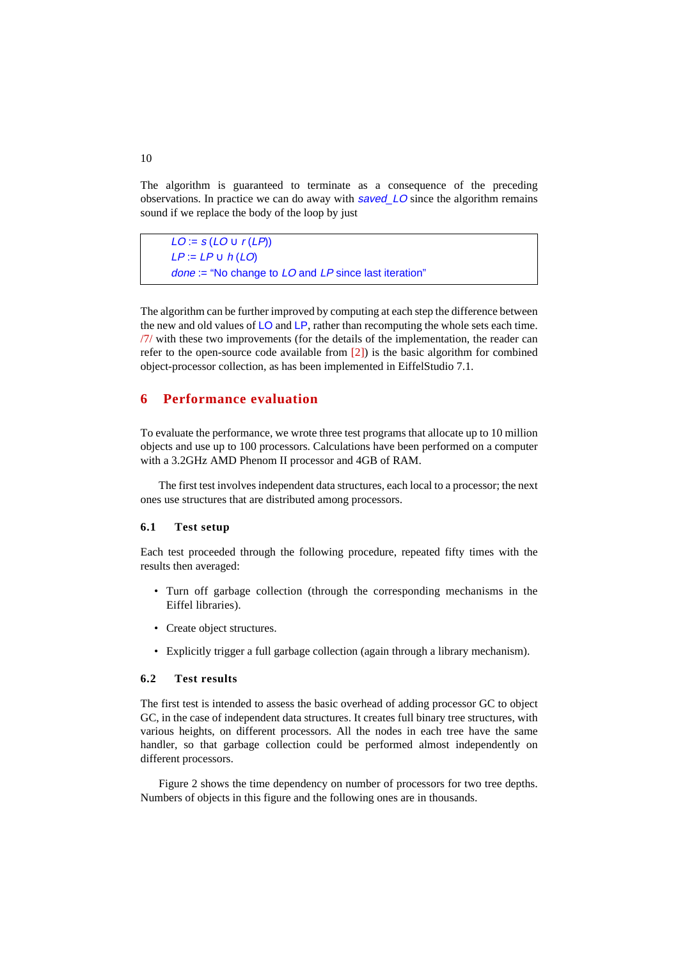The algorithm is guaranteed to terminate as a consequence of the preceding observations. In practice we can do away with **saved\_LO** since the algorithm remains sound if we replace the body of the loop by just

 $LO := s (LO \cup r (LP))$  $LP := LP \cup h (LO)$ done := "No change to LO and LP since last iteration"

The algorithm can be further improved by computing at each step the difference between the new and old values of LO and LP, rather than recomputing the whole sets each time. [/7/](#page-8-2) with these two improvements (for the details of the implementation, the reader can refer to the open-source code available from  $[2]$ ) is the basic algorithm for combined object-processor collection, as has been implemented in EiffelStudio 7.1.

## <span id="page-9-0"></span>**6 Performance evaluation**

To evaluate the performance, we wrote three test programs that allocate up to 10 million objects and use up to 100 processors. Calculations have been performed on a computer with a 3.2GHz AMD Phenom II processor and 4GB of RAM.

The first test involves independent data structures, each local to a processor; the next ones use structures that are distributed among processors.

#### **6.1 Test setup**

Each test proceeded through the following procedure, repeated fifty times with the results then averaged:

- Turn off garbage collection (through the corresponding mechanisms in the Eiffel libraries).
- Create object structures.
- Explicitly trigger a full garbage collection (again through a library mechanism).

## **6.2 Test results**

The first test is intended to assess the basic overhead of adding processor GC to object GC, in the case of independent data structures. It creates full binary tree structures, with various heights, on different processors. All the nodes in each tree have the same handler, so that garbage collection could be performed almost independently on different processors.

Figure 2 shows the time dependency on number of processors for two tree depths. Numbers of objects in this figure and the following ones are in thousands.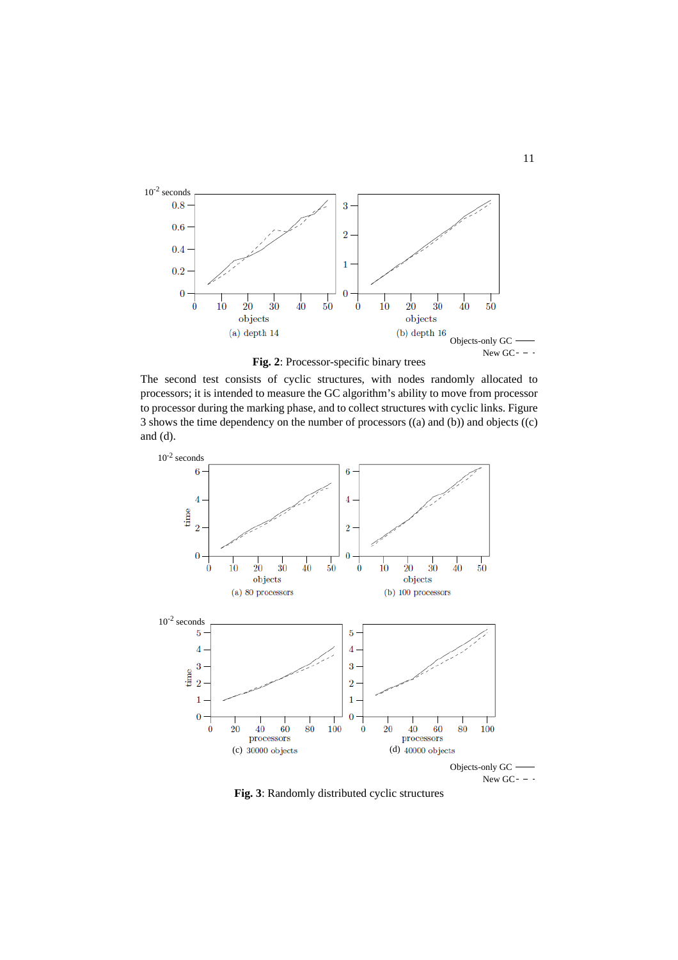

**Fig. 2**: Processor-specific binary trees

The second test consists of cyclic structures, with nodes randomly allocated to processors; it is intended to measure the GC algorithm's ability to move from processor to processor during the marking phase, and to collect structures with cyclic links. Figure 3 shows the time dependency on the number of processors ((a) and (b)) and objects ((c) and (d).



**Fig. 3**: Randomly distributed cyclic structures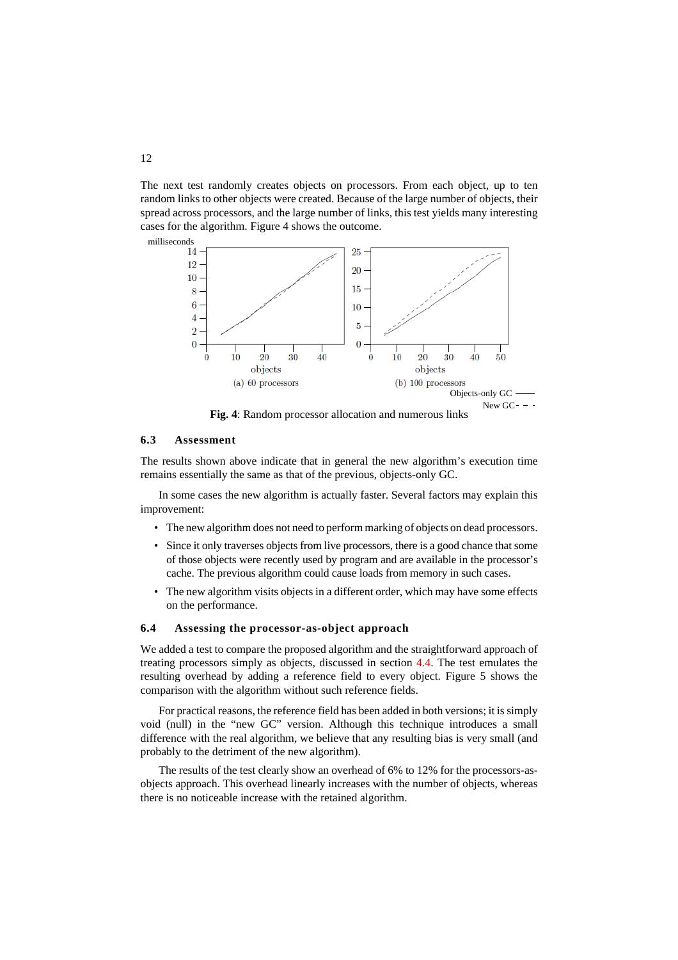The next test randomly creates objects on processors. From each object, up to ten random links to other objects were created. Because of the large number of objects, their spread across processors, and the large number of links, this test yields many interesting cases for the algorithm. Figure 4 shows the outcome.



**Fig. 4**: Random processor allocation and numerous links

#### **6.3 Assessment**

The results shown above indicate that in general the new algorithm's execution time remains essentially the same as that of the previous, objects-only GC.

In some cases the new algorithm is actually faster. Several factors may explain this improvement:

- The new algorithm does not need to perform marking of objects on dead processors.
- Since it only traverses objects from live processors, there is a good chance that some of those objects were recently used by program and are available in the processor's cache. The previous algorithm could cause loads from memory in such cases.
- The new algorithm visits objects in a different order, which may have some effects on the performance.

#### <span id="page-11-0"></span>**6.4 Assessing the processor-as-object approach**

We added a test to compare the proposed algorithm and the straightforward approach of treating processors simply as objects, discussed in section [4.4.](#page-5-0) The test emulates the resulting overhead by adding a reference field to every object. Figure 5 shows the comparison with the algorithm without such reference fields.

For practical reasons, the reference field has been added in both versions; it is simply void (null) in the "new GC" version. Although this technique introduces a small difference with the real algorithm, we believe that any resulting bias is very small (and probably to the detriment of the new algorithm).

The results of the test clearly show an overhead of 6% to 12% for the processors-asobjects approach. This overhead linearly increases with the number of objects, whereas there is no noticeable increase with the retained algorithm.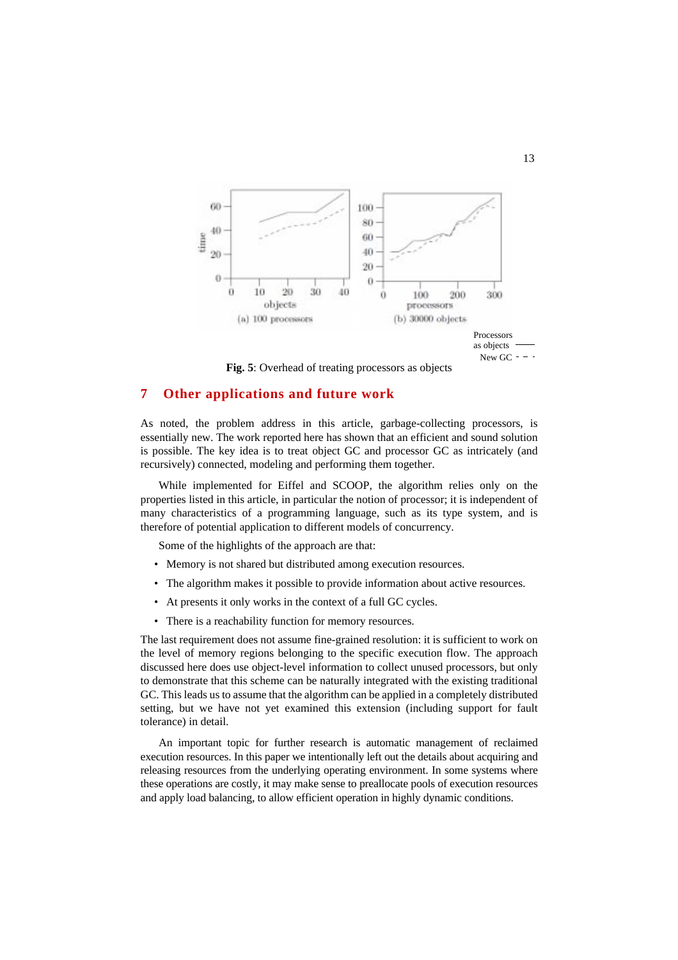

**Fig. 5**: Overhead of treating processors as objects

## <span id="page-12-0"></span>**7 Other applications and future work**

As noted, the problem address in this article, garbage-collecting processors, is essentially new. The work reported here has shown that an efficient and sound solution is possible. The key idea is to treat object GC and processor GC as intricately (and recursively) connected, modeling and performing them together.

While implemented for Eiffel and SCOOP, the algorithm relies only on the properties listed in this article, in particular the notion of processor; it is independent of many characteristics of a programming language, such as its type system, and is therefore of potential application to different models of concurrency.

Some of the highlights of the approach are that:

- Memory is not shared but distributed among execution resources.
- The algorithm makes it possible to provide information about active resources.
- At presents it only works in the context of a full GC cycles.
- There is a reachability function for memory resources.

The last requirement does not assume fine-grained resolution: it is sufficient to work on the level of memory regions belonging to the specific execution flow. The approach discussed here does use object-level information to collect unused processors, but only to demonstrate that this scheme can be naturally integrated with the existing traditional GC. This leads us to assume that the algorithm can be applied in a completely distributed setting, but we have not yet examined this extension (including support for fault tolerance) in detail.

An important topic for further research is automatic management of reclaimed execution resources. In this paper we intentionally left out the details about acquiring and releasing resources from the underlying operating environment. In some systems where these operations are costly, it may make sense to preallocate pools of execution resources and apply load balancing, to allow efficient operation in highly dynamic conditions.